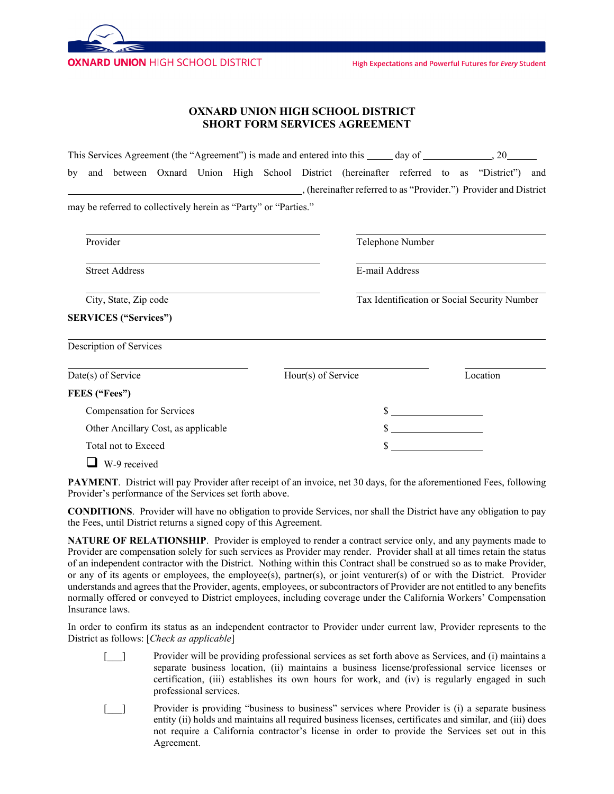

High Expectations and Powerful Futures for Every Student

## **OXNARD UNION HIGH SCHOOL DISTRICT SHORT FORM SERVICES AGREEMENT**

|                    |                           |                                                                 |  |  |  |                    |  | This Services Agreement (the "Agreement") is made and entered into this _____ day of ______________, 20_______                                              |                                              |  |          |  |  |
|--------------------|---------------------------|-----------------------------------------------------------------|--|--|--|--------------------|--|-------------------------------------------------------------------------------------------------------------------------------------------------------------|----------------------------------------------|--|----------|--|--|
| by                 |                           |                                                                 |  |  |  |                    |  | and between Oxnard Union High School District (hereinafter referred to as "District") and<br>(hereinafter referred to as "Provider.") Provider and District |                                              |  |          |  |  |
|                    |                           | may be referred to collectively herein as "Party" or "Parties." |  |  |  |                    |  |                                                                                                                                                             |                                              |  |          |  |  |
|                    | Provider                  |                                                                 |  |  |  |                    |  |                                                                                                                                                             | Telephone Number                             |  |          |  |  |
|                    | <b>Street Address</b>     |                                                                 |  |  |  |                    |  |                                                                                                                                                             | E-mail Address                               |  |          |  |  |
|                    | City, State, Zip code     |                                                                 |  |  |  |                    |  |                                                                                                                                                             | Tax Identification or Social Security Number |  |          |  |  |
|                    |                           | <b>SERVICES</b> ("Services")                                    |  |  |  |                    |  |                                                                                                                                                             |                                              |  |          |  |  |
|                    |                           | Description of Services                                         |  |  |  |                    |  |                                                                                                                                                             |                                              |  |          |  |  |
| Date(s) of Service |                           |                                                                 |  |  |  | Hour(s) of Service |  |                                                                                                                                                             |                                              |  | Location |  |  |
|                    |                           | FEES ("Fees")                                                   |  |  |  |                    |  |                                                                                                                                                             |                                              |  |          |  |  |
|                    | Compensation for Services |                                                                 |  |  |  |                    |  |                                                                                                                                                             | $\frac{\text{S}}{\text{S}}$                  |  |          |  |  |
|                    |                           | Other Ancillary Cost, as applicable                             |  |  |  |                    |  |                                                                                                                                                             | $\frac{\text{S}}{\text{S}}$                  |  |          |  |  |
|                    |                           | Total not to Exceed                                             |  |  |  |                    |  |                                                                                                                                                             |                                              |  |          |  |  |
|                    |                           | W-9 received                                                    |  |  |  |                    |  |                                                                                                                                                             |                                              |  |          |  |  |

**PAYMENT**. District will pay Provider after receipt of an invoice, net 30 days, for the aforementioned Fees, following Provider's performance of the Services set forth above.

**CONDITIONS**. Provider will have no obligation to provide Services, nor shall the District have any obligation to pay the Fees, until District returns a signed copy of this Agreement.

**NATURE OF RELATIONSHIP**. Provider is employed to render a contract service only, and any payments made to Provider are compensation solely for such services as Provider may render. Provider shall at all times retain the status of an independent contractor with the District. Nothing within this Contract shall be construed so as to make Provider, or any of its agents or employees, the employee(s), partner(s), or joint venturer(s) of or with the District. Provider understands and agrees that the Provider, agents, employees, or subcontractors of Provider are not entitled to any benefits normally offered or conveyed to District employees, including coverage under the California Workers' Compensation Insurance laws.

In order to confirm its status as an independent contractor to Provider under current law, Provider represents to the District as follows: [*Check as applicable*]

- [\_\_\_] Provider will be providing professional services as set forth above as Services, and (i) maintains a separate business location, (ii) maintains a business license/professional service licenses or certification, (iii) establishes its own hours for work, and (iv) is regularly engaged in such professional services.
- [\_\_\_] Provider is providing "business to business" services where Provider is (i) a separate business entity (ii) holds and maintains all required business licenses, certificates and similar, and (iii) does not require a California contractor's license in order to provide the Services set out in this Agreement.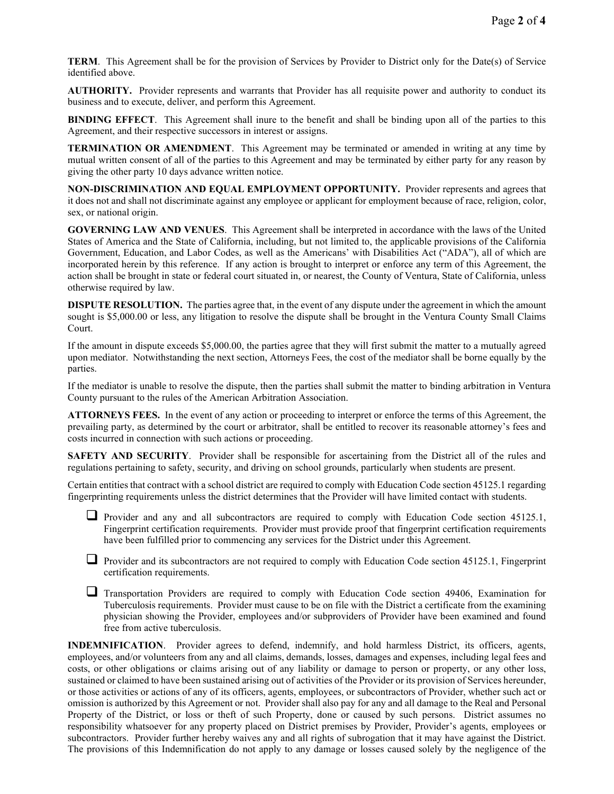**TERM**. This Agreement shall be for the provision of Services by Provider to District only for the Date(s) of Service identified above.

**AUTHORITY.** Provider represents and warrants that Provider has all requisite power and authority to conduct its business and to execute, deliver, and perform this Agreement.

**BINDING EFFECT**. This Agreement shall inure to the benefit and shall be binding upon all of the parties to this Agreement, and their respective successors in interest or assigns.

**TERMINATION OR AMENDMENT**. This Agreement may be terminated or amended in writing at any time by mutual written consent of all of the parties to this Agreement and may be terminated by either party for any reason by giving the other party 10 days advance written notice.

**NON-DISCRIMINATION AND EQUAL EMPLOYMENT OPPORTUNITY.** Provider represents and agrees that it does not and shall not discriminate against any employee or applicant for employment because of race, religion, color, sex, or national origin.

**GOVERNING LAW AND VENUES**. This Agreement shall be interpreted in accordance with the laws of the United States of America and the State of California, including, but not limited to, the applicable provisions of the California Government, Education, and Labor Codes, as well as the Americans' with Disabilities Act ("ADA"), all of which are incorporated herein by this reference. If any action is brought to interpret or enforce any term of this Agreement, the action shall be brought in state or federal court situated in, or nearest, the County of Ventura, State of California, unless otherwise required by law.

**DISPUTE RESOLUTION.** The parties agree that, in the event of any dispute under the agreement in which the amount sought is \$5,000.00 or less, any litigation to resolve the dispute shall be brought in the Ventura County Small Claims Court.

If the amount in dispute exceeds \$5,000.00, the parties agree that they will first submit the matter to a mutually agreed upon mediator. Notwithstanding the next section, Attorneys Fees, the cost of the mediator shall be borne equally by the parties.

If the mediator is unable to resolve the dispute, then the parties shall submit the matter to binding arbitration in Ventura County pursuant to the rules of the American Arbitration Association.

**ATTORNEYS FEES.** In the event of any action or proceeding to interpret or enforce the terms of this Agreement, the prevailing party, as determined by the court or arbitrator, shall be entitled to recover its reasonable attorney's fees and costs incurred in connection with such actions or proceeding.

**SAFETY AND SECURITY**. Provider shall be responsible for ascertaining from the District all of the rules and regulations pertaining to safety, security, and driving on school grounds, particularly when students are present.

Certain entities that contract with a school district are required to comply with Education Code section 45125.1 regarding fingerprinting requirements unless the district determines that the Provider will have limited contact with students.

**Provider and any and all subcontractors are required to comply with Education Code section 45125.1,** Fingerprint certification requirements. Provider must provide proof that fingerprint certification requirements have been fulfilled prior to commencing any services for the District under this Agreement.

Provider and its subcontractors are not required to comply with Education Code section 45125.1, Fingerprint certification requirements.

 Transportation Providers are required to comply with Education Code section 49406, Examination for Tuberculosis requirements. Provider must cause to be on file with the District a certificate from the examining physician showing the Provider, employees and/or subproviders of Provider have been examined and found free from active tuberculosis.

**INDEMNIFICATION**. Provider agrees to defend, indemnify, and hold harmless District, its officers, agents, employees, and/or volunteers from any and all claims, demands, losses, damages and expenses, including legal fees and costs, or other obligations or claims arising out of any liability or damage to person or property, or any other loss, sustained or claimed to have been sustained arising out of activities of the Provider or its provision of Services hereunder, or those activities or actions of any of its officers, agents, employees, or subcontractors of Provider, whether such act or omission is authorized by this Agreement or not. Provider shall also pay for any and all damage to the Real and Personal Property of the District, or loss or theft of such Property, done or caused by such persons. District assumes no responsibility whatsoever for any property placed on District premises by Provider, Provider's agents, employees or subcontractors. Provider further hereby waives any and all rights of subrogation that it may have against the District. The provisions of this Indemnification do not apply to any damage or losses caused solely by the negligence of the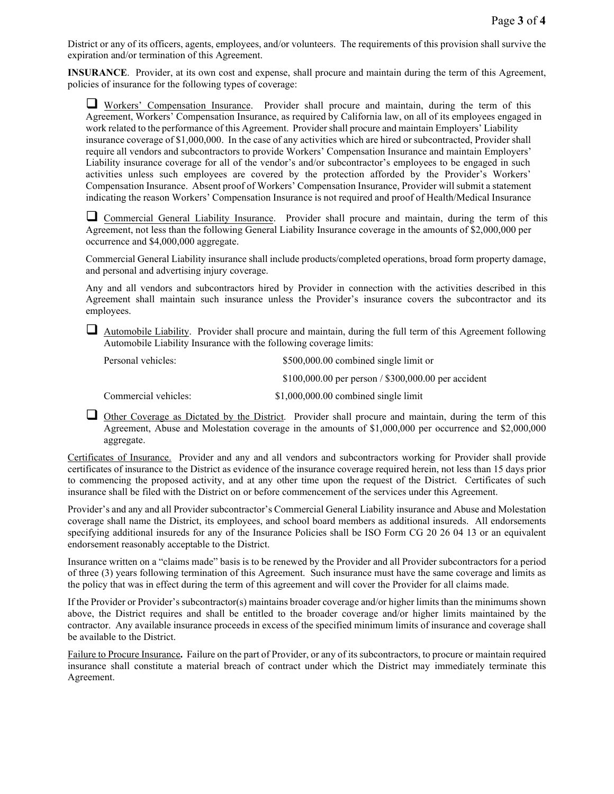District or any of its officers, agents, employees, and/or volunteers. The requirements of this provision shall survive the expiration and/or termination of this Agreement.

**INSURANCE**. Provider, at its own cost and expense, shall procure and maintain during the term of this Agreement, policies of insurance for the following types of coverage:

 Workers' Compensation Insurance. Provider shall procure and maintain, during the term of this Agreement, Workers' Compensation Insurance, as required by California law, on all of its employees engaged in work related to the performance of this Agreement. Provider shall procure and maintain Employers' Liability insurance coverage of \$1,000,000. In the case of any activities which are hired or subcontracted, Provider shall require all vendors and subcontractors to provide Workers' Compensation Insurance and maintain Employers' Liability insurance coverage for all of the vendor's and/or subcontractor's employees to be engaged in such activities unless such employees are covered by the protection afforded by the Provider's Workers' Compensation Insurance. Absent proof of Workers' Compensation Insurance, Provider will submit a statement indicating the reason Workers' Compensation Insurance is not required and proof of Health/Medical Insurance

 Commercial General Liability Insurance. Provider shall procure and maintain, during the term of this Agreement, not less than the following General Liability Insurance coverage in the amounts of \$2,000,000 per occurrence and \$4,000,000 aggregate.

Commercial General Liability insurance shall include products/completed operations, broad form property damage, and personal and advertising injury coverage.

Any and all vendors and subcontractors hired by Provider in connection with the activities described in this Agreement shall maintain such insurance unless the Provider's insurance covers the subcontractor and its employees.

Automobile Liability. Provider shall procure and maintain, during the full term of this Agreement following Automobile Liability Insurance with the following coverage limits:

Personal vehicles:  $$500,000.00$  combined single limit or \$100,000.00 per person / \$300,000.00 per accident Commercial vehicles: \$1,000,000.00 combined single limit

Other Coverage as Dictated by the District. Provider shall procure and maintain, during the term of this Agreement, Abuse and Molestation coverage in the amounts of \$1,000,000 per occurrence and \$2,000,000 aggregate.

Certificates of Insurance. Provider and any and all vendors and subcontractors working for Provider shall provide certificates of insurance to the District as evidence of the insurance coverage required herein, not less than 15 days prior to commencing the proposed activity, and at any other time upon the request of the District. Certificates of such insurance shall be filed with the District on or before commencement of the services under this Agreement.

Provider's and any and all Provider subcontractor's Commercial General Liability insurance and Abuse and Molestation coverage shall name the District, its employees, and school board members as additional insureds. All endorsements specifying additional insureds for any of the Insurance Policies shall be ISO Form CG 20 26 04 13 or an equivalent endorsement reasonably acceptable to the District.

Insurance written on a "claims made" basis is to be renewed by the Provider and all Provider subcontractors for a period of three (3) years following termination of this Agreement. Such insurance must have the same coverage and limits as the policy that was in effect during the term of this agreement and will cover the Provider for all claims made.

If the Provider or Provider's subcontractor(s) maintains broader coverage and/or higher limits than the minimums shown above, the District requires and shall be entitled to the broader coverage and/or higher limits maintained by the contractor. Any available insurance proceeds in excess of the specified minimum limits of insurance and coverage shall be available to the District.

Failure to Procure Insurance**.** Failure on the part of Provider, or any of its subcontractors, to procure or maintain required insurance shall constitute a material breach of contract under which the District may immediately terminate this Agreement.